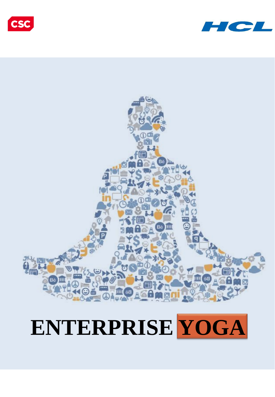# **ENTERPRISE YOGA**





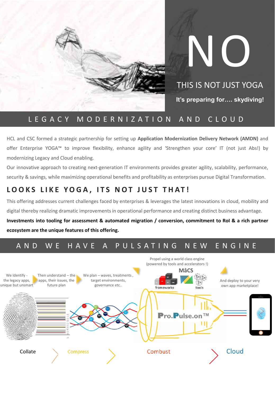

# NO THIS IS NOT JUST YOGA **It's preparing for…. skydiving!**

## L E G A C Y M O D E R N I Z A T I O N A N D C L O U D

HCL and CSC formed a strategic partnership for setting up **Application Modernization Delivery Network (AMDN)** and offer Enterprise YOGA™ to improve flexibility, enhance agility and 'Strengthen your core' IT (not just Abs!) by modernizing Legacy and Cloud enabling.

Our innovative approach to creating next-generation IT environments provides greater agility, scalability, performance, security & savings, while maximizing operational benefits and profitability as enterprises pursue Digital Transformation.

# **L O O K S L I K E Y O G A , I T S N O T J U S T T H A T !**

This offering addresses current challenges faced by enterprises & leverages the latest innovations in cloud, mobility and digital thereby realizing dramatic improvements in operational performance and creating distinct business advantage.

Investments into tooling for assessment & automated migration / conversion, commitment to RoI & a rich partner **ecosystem are the unique features of this offering.**

# A N D W E H A V E A P U L S A T I N G N E W E N G I N E

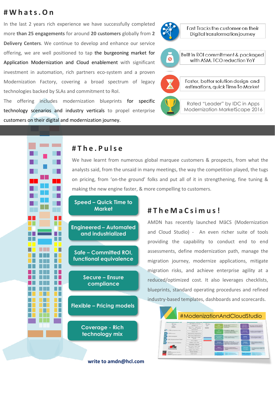### **# W h a t s . O n**

In the last 2 years rich experience we have successfully completed more **than 25 engagements** for around **20 customers** globally from **2 Delivery Centers**. We continue to develop and enhance our service offering, we are well positioned to tap the burgeoning market for Application Modernization and Cloud enablement with significant investment in automation, rich partners eco-system and a proven Modernization Factory, covering a broad spectrum of legacy technologies backed by SLAs and commitment to RoI.

The offering includes modernization blueprints for specific technology scenarios and industry verticals to propel enterprise customers on their digital and modernization journey.





Rated "Leader" by IDC in Apps Modernization MarketScape 2016

# − ⊓ - I -H. П . . . . П .

### **# T h e . P u l s e**

We have learnt from numerous global marquee customers & prospects, from what the analysts said, from the unsaid in many meetings, the way the competition played, the tugs on pricing, from 'on-the ground' folks and put all of it in strengthening, fine tuning & making the new engine faster, & more compelling to customers.

**Speed – Quick Time to Market**

**Engineered – Automated and industrialized**

**Safe – Committed ROI, functional equivalence**

> **Secure – Ensure compliance**

**Flexible – Pricing models**

**Coverage - Rich technology mix**

#### **write to amdn@hcl.com**

### **# T h e M a C s i m u s!**

AMDN has recently launched MâCS (Modernization and Cloud Studio) - An even richer suite of tools providing the capability to conduct end to end assessments, define modernization path, manage the migration journey, modernize applications, mitigate migration risks, and achieve enterprise agility at a reduced/optimized cost. It also leverages checklists, blueprints, standard operating procedures and refined industry-based templates, dashboards and scorecards.